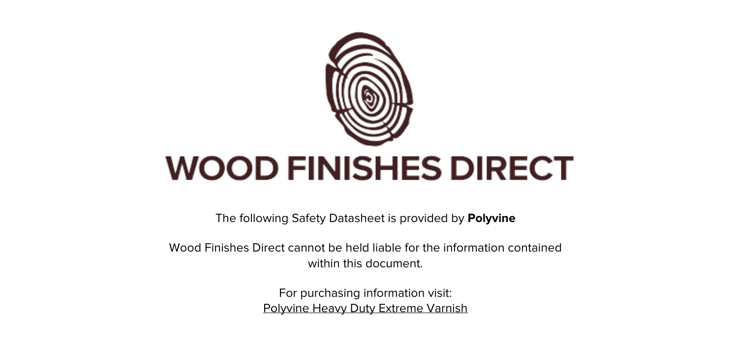

The following Safety Datasheet is provided by **Polyvine**

Wood Finishes Direct cannot be held liable for the information contained within this document.

> For purchasing information visit: [Polyvine Heavy Duty Extreme Varnish](https://www.wood-finishes-direct.com/product/polyvine-heavy-duty-extreme-varnish)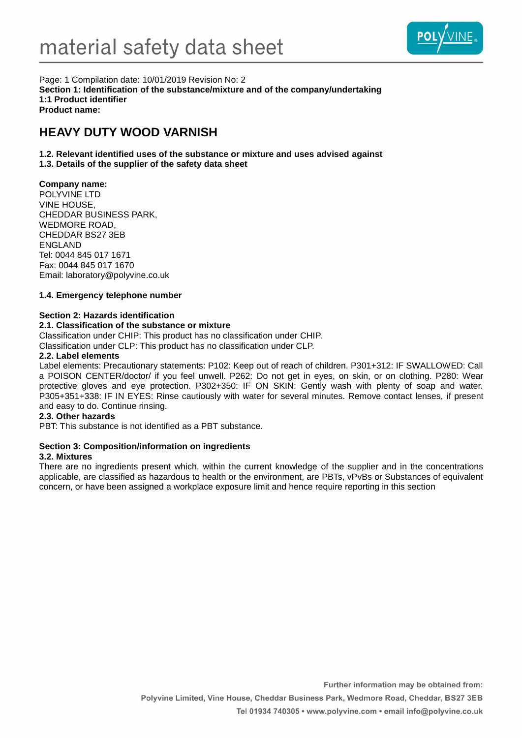

Page: 1 Compilation date: 10/01/2019 Revision No: 2 **Section 1: Identification of the substance/mixture and of the company/undertaking 1:1 Product identifier Product name:**

# **HEAVY DUTY WOOD VARNISH**

**1.2. Relevant identified uses of the substance or mixture and uses advised against 1.3. Details of the supplier of the safety data sheet**

# **Company name:**

POLYVINE LTD VINE HOUSE, CHEDDAR BUSINESS PARK, WEDMORE ROAD, CHEDDAR BS27 3EB ENGLAND Tel: 0044 845 017 1671 Fax: 0044 845 017 1670 Email: laboratory@polyvine.co.uk

# **1.4. Emergency telephone number**

# **Section 2: Hazards identification**

# **2.1. Classification of the substance or mixture**

Classification under CHIP: This product has no classification under CHIP.

Classification under CLP: This product has no classification under CLP.

#### **2.2. Label elements**

Label elements: Precautionary statements: P102: Keep out of reach of children. P301+312: IF SWALLOWED: Call a POISON CENTER/doctor/ if you feel unwell. P262: Do not get in eyes, on skin, or on clothing. P280: Wear protective gloves and eye protection. P302+350: IF ON SKIN: Gently wash with plenty of soap and water. P305+351+338: IF IN EYES: Rinse cautiously with water for several minutes. Remove contact lenses, if present and easy to do. Continue rinsing.

#### **2.3. Other hazards**

PBT: This substance is not identified as a PBT substance.

# **Section 3: Composition/information on ingredients**

# **3.2. Mixtures**

There are no ingredients present which, within the current knowledge of the supplier and in the concentrations applicable, are classified as hazardous to health or the environment, are PBTs, vPvBs or Substances of equivalent concern, or have been assigned a workplace exposure limit and hence require reporting in this section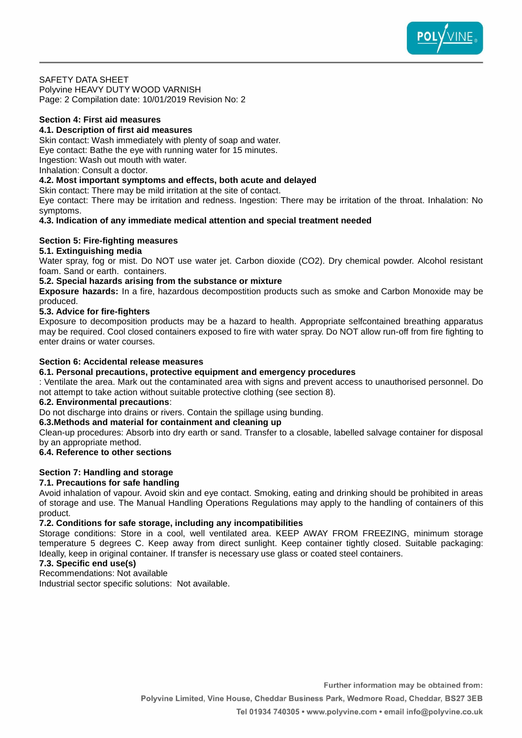

# SAFETY DATA SHEET

Polyvine HEAVY DUTY WOOD VARNISH Page: 2 Compilation date: 10/01/2019 Revision No: 2

#### **Section 4: First aid measures**

# **4.1. Description of first aid measures**

Skin contact: Wash immediately with plenty of soap and water. Eye contact: Bathe the eye with running water for 15 minutes. Ingestion: Wash out mouth with water.

Inhalation: Consult a doctor.

#### **4.2. Most important symptoms and effects, both acute and delayed**

Skin contact: There may be mild irritation at the site of contact.

Eye contact: There may be irritation and redness. Ingestion: There may be irritation of the throat. Inhalation: No symptoms.

# **4.3. Indication of any immediate medical attention and special treatment needed**

# **Section 5: Fire-fighting measures**

# **5.1. Extinguishing media**

Water spray, fog or mist. Do NOT use water jet. Carbon dioxide (CO2). Dry chemical powder. Alcohol resistant foam. Sand or earth. containers.

# **5.2. Special hazards arising from the substance or mixture**

**Exposure hazards:** In a fire, hazardous decompostition products such as smoke and Carbon Monoxide may be produced.

# **5.3. Advice for fire-fighters**

Exposure to decomposition products may be a hazard to health. Appropriate selfcontained breathing apparatus may be required. Cool closed containers exposed to fire with water spray. Do NOT allow run-off from fire fighting to enter drains or water courses.

# **Section 6: Accidental release measures**

#### **6.1. Personal precautions, protective equipment and emergency procedures**

: Ventilate the area. Mark out the contaminated area with signs and prevent access to unauthorised personnel. Do not attempt to take action without suitable protective clothing (see section 8).

#### **6.2. Environmental precautions**:

Do not discharge into drains or rivers. Contain the spillage using bunding.

# **6.3.Methods and material for containment and cleaning up**

Clean-up procedures: Absorb into dry earth or sand. Transfer to a closable, labelled salvage container for disposal by an appropriate method.

# **6.4. Reference to other sections**

# **Section 7: Handling and storage**

# **7.1. Precautions for safe handling**

Avoid inhalation of vapour. Avoid skin and eye contact. Smoking, eating and drinking should be prohibited in areas of storage and use. The Manual Handling Operations Regulations may apply to the handling of containers of this product.

# **7.2. Conditions for safe storage, including any incompatibilities**

Storage conditions: Store in a cool, well ventilated area. KEEP AWAY FROM FREEZING, minimum storage temperature 5 degrees C. Keep away from direct sunlight. Keep container tightly closed. Suitable packaging: Ideally, keep in original container. If transfer is necessary use glass or coated steel containers.

# **7.3. Specific end use(s)**

Recommendations: Not available

Industrial sector specific solutions: Not available.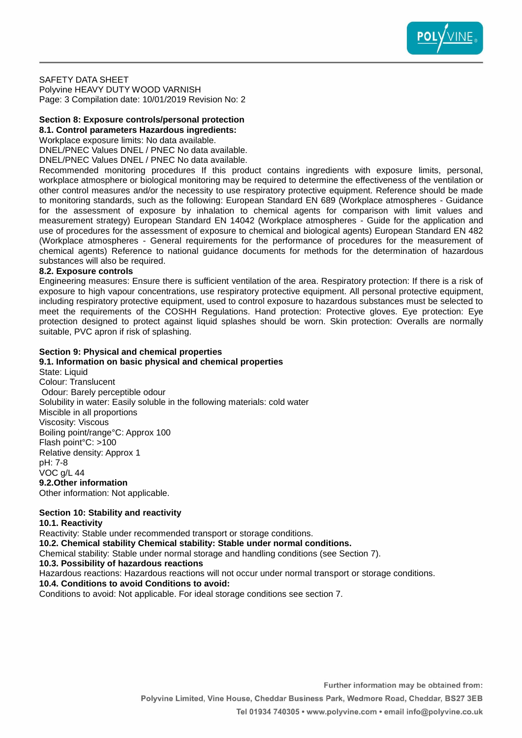

#### SAFETY DATA SHEET

Polyvine HEAVY DUTY WOOD VARNISH Page: 3 Compilation date: 10/01/2019 Revision No: 2

# **Section 8: Exposure controls/personal protection**

**8.1. Control parameters Hazardous ingredients:** Workplace exposure limits: No data available.

DNEL/PNEC Values DNEL / PNEC No data available.

DNEL/PNEC Values DNEL / PNEC No data available.

Recommended monitoring procedures If this product contains ingredients with exposure limits, personal, workplace atmosphere or biological monitoring may be required to determine the effectiveness of the ventilation or other control measures and/or the necessity to use respiratory protective equipment. Reference should be made to monitoring standards, such as the following: European Standard EN 689 (Workplace atmospheres - Guidance for the assessment of exposure by inhalation to chemical agents for comparison with limit values and measurement strategy) European Standard EN 14042 (Workplace atmospheres - Guide for the application and use of procedures for the assessment of exposure to chemical and biological agents) European Standard EN 482 (Workplace atmospheres - General requirements for the performance of procedures for the measurement of chemical agents) Reference to national guidance documents for methods for the determination of hazardous substances will also be required.

# **8.2. Exposure controls**

Engineering measures: Ensure there is sufficient ventilation of the area. Respiratory protection: If there is a risk of exposure to high vapour concentrations, use respiratory protective equipment. All personal protective equipment, including respiratory protective equipment, used to control exposure to hazardous substances must be selected to meet the requirements of the COSHH Regulations. Hand protection: Protective gloves. Eye protection: Eye protection designed to protect against liquid splashes should be worn. Skin protection: Overalls are normally suitable, PVC apron if risk of splashing.

# **Section 9: Physical and chemical properties**

**9.1. Information on basic physical and chemical properties** State: Liquid Colour: Translucent Odour: Barely perceptible odour Solubility in water: Easily soluble in the following materials: cold water Miscible in all proportions Viscosity: Viscous Boiling point/range°C: Approx 100 Flash point°C: >100 Relative density: Approx 1 pH: 7-8 VOC g/L 44 **9.2.Other information** Other information: Not applicable.

# **Section 10: Stability and reactivity**

#### **10.1. Reactivity**

Reactivity: Stable under recommended transport or storage conditions.

**10.2. Chemical stability Chemical stability: Stable under normal conditions.**

Chemical stability: Stable under normal storage and handling conditions (see Section 7).

**10.3. Possibility of hazardous reactions**

Hazardous reactions: Hazardous reactions will not occur under normal transport or storage conditions.

# **10.4. Conditions to avoid Conditions to avoid:**

Conditions to avoid: Not applicable. For ideal storage conditions see section 7.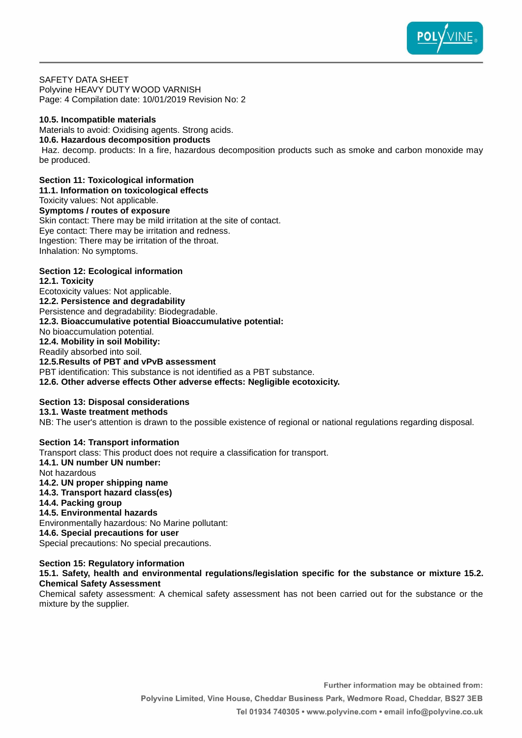

SAFETY DATA SHEET Polyvine HEAVY DUTY WOOD VARNISH Page: 4 Compilation date: 10/01/2019 Revision No: 2

#### **10.5. Incompatible materials**

Materials to avoid: Oxidising agents. Strong acids.

# **10.6. Hazardous decomposition products**

Haz. decomp. products: In a fire, hazardous decomposition products such as smoke and carbon monoxide may be produced.

**Section 11: Toxicological information**

**11.1. Information on toxicological effects**

Toxicity values: Not applicable.

**Symptoms / routes of exposure** Skin contact: There may be mild irritation at the site of contact. Eye contact: There may be irritation and redness. Ingestion: There may be irritation of the throat. Inhalation: No symptoms.

# **Section 12: Ecological information**

**12.1. Toxicity** Ecotoxicity values: Not applicable. **12.2. Persistence and degradability** Persistence and degradability: Biodegradable. **12.3. Bioaccumulative potential Bioaccumulative potential:** No bioaccumulation potential. **12.4. Mobility in soil Mobility:** Readily absorbed into soil. **12.5.Results of PBT and vPvB assessment** PBT identification: This substance is not identified as a PBT substance. **12.6. Other adverse effects Other adverse effects: Negligible ecotoxicity.**

# **Section 13: Disposal considerations 13.1. Waste treatment methods**

NB: The user's attention is drawn to the possible existence of regional or national regulations regarding disposal.

#### **Section 14: Transport information** Transport class: This product does not require a classification for transport. **14.1. UN number UN number:** Not hazardous **14.2. UN proper shipping name 14.3. Transport hazard class(es) 14.4. Packing group 14.5. Environmental hazards** Environmentally hazardous: No Marine pollutant:

**14.6. Special precautions for user** Special precautions: No special precautions.

# **Section 15: Regulatory information**

# **15.1. Safety, health and environmental regulations/legislation specific for the substance or mixture 15.2. Chemical Safety Assessment**

Chemical safety assessment: A chemical safety assessment has not been carried out for the substance or the mixture by the supplier.